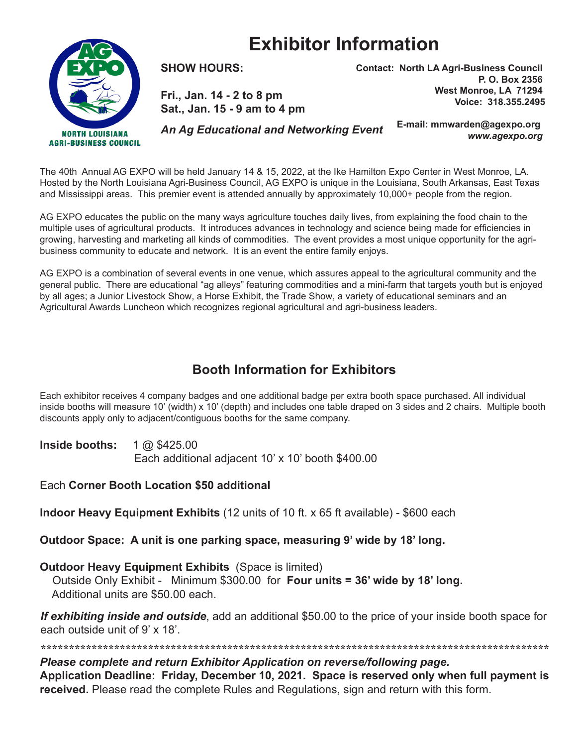## **Exhibitor Information**



**SHOW HOURS:** 

**Fri., Jan. 14 - 2 to 8 pm Sat., Jan. 15 - 9 am to 4 pm** **Contact: North LA Agri-Business Council P. O. Box 2356 West Monroe, LA 71294 Voice: 318.355.2495**

*An Ag Educational and Networking Event*

**E-mail: mmwarden@agexpo.org** *www.agexpo.org*

The 40th Annual AG EXPO will be held January 14 & 15, 2022, at the Ike Hamilton Expo Center in West Monroe, LA. Hosted by the North Louisiana Agri-Business Council, AG EXPO is unique in the Louisiana, South Arkansas, East Texas and Mississippi areas. This premier event is attended annually by approximately 10,000+ people from the region.

AG EXPO educates the public on the many ways agriculture touches daily lives, from explaining the food chain to the multiple uses of agricultural products. It introduces advances in technology and science being made for efficiencies in growing, harvesting and marketing all kinds of commodities. The event provides a most unique opportunity for the agribusiness community to educate and network. It is an event the entire family enjoys.

AG EXPO is a combination of several events in one venue, which assures appeal to the agricultural community and the general public. There are educational "ag alleys" featuring commodities and a mini-farm that targets youth but is enjoyed by all ages; a Junior Livestock Show, a Horse Exhibit, the Trade Show, a variety of educational seminars and an Agricultural Awards Luncheon which recognizes regional agricultural and agri-business leaders.

## **Booth Information for Exhibitors**

Each exhibitor receives 4 company badges and one additional badge per extra booth space purchased. All individual inside booths will measure 10' (width) x 10' (depth) and includes one table draped on 3 sides and 2 chairs. Multiple booth discounts apply only to adjacent/contiguous booths for the same company.

**Inside booths:** 1 @ \$425.00

Each additional adjacent 10' x 10' booth \$400.00

Each **Corner Booth Location \$50 additional**

**Indoor Heavy Equipment Exhibits** (12 units of 10 ft. x 65 ft available) - \$600 each

**Outdoor Space: A unit is one parking space, measuring 9' wide by 18' long.** 

**Outdoor Heavy Equipment Exhibits** (Space is limited)

 Outside Only Exhibit - Minimum \$300.00 for **Four units = 36' wide by 18' long.** Additional units are \$50.00 each.

*If exhibiting inside and outside*, add an additional \$50.00 to the price of your inside booth space for each outside unit of 9' x 18'.

*\*\*\*\*\*\*\*\*\*\*\*\*\*\*\*\*\*\*\*\*\*\*\*\*\*\*\*\*\*\*\*\*\*\*\*\*\*\*\*\*\*\*\*\*\*\*\*\*\*\*\*\*\*\*\*\*\*\*\*\*\*\*\*\*\*\*\*\*\*\*\*\*\*\*\*\*\*\*\*\*\*\*\*\*\*\*\*\*\*\* Please complete and return Exhibitor Application on reverse/following page.* **Application Deadline: Friday, December 10, 2021. Space is reserved only when full payment is received.** Please read the complete Rules and Regulations, sign and return with this form.